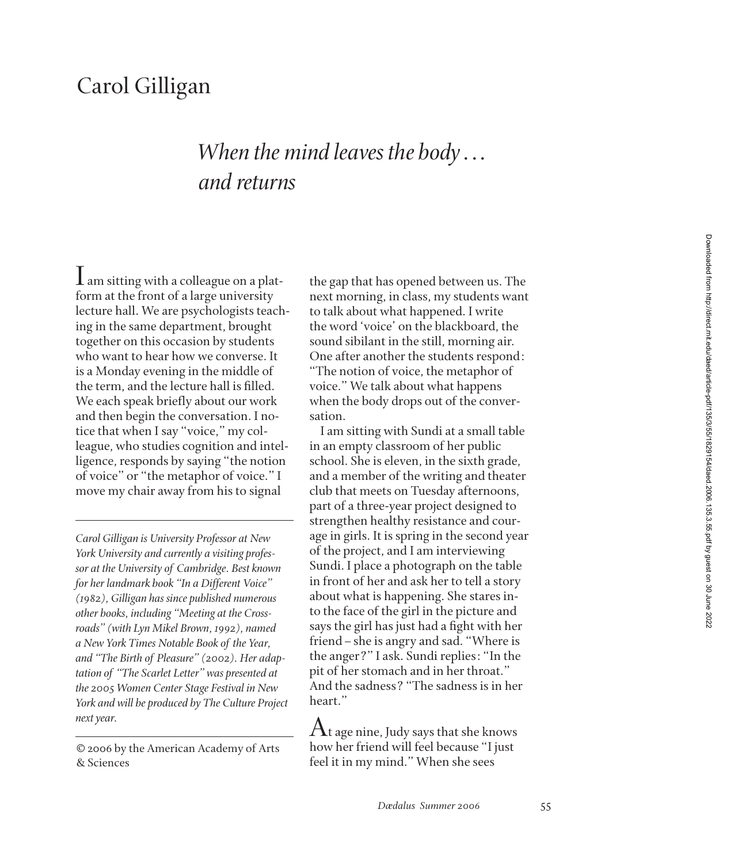## Carol Gilligan

## *When the mind leaves the body . . . and returns*

 $\mathbf 1$  am sitting with a colleague on a platform at the front of a large university lecture hall. We are psychologists teaching in the same department, brought together on this occasion by students who want to hear how we converse. It is a Monday evening in the middle of the term, and the lecture hall is filled. We each speak briefly about our work and then begin the conversation. I notice that when I say "voice," my colleague, who studies cognition and intelligence, responds by saying "the notion of voice" or "the metaphor of voice." I move my chair away from his to signal

*Carol Gilligan is University Professor at New York University and currently a visiting professor at the University of Cambridge. Best known for her landmark book "In a Different Voice" (1982), Gilligan has since published numerous other books, including "Meeting at the Crossroads" (with Lyn Mikel Brown, 1992), named a New York Times Notable Book of the Year, and "The Birth of Pleasure" (2002). Her adaptation of "The Scarlet Letter" was presented at the 2005 Women Center Stage Festival in New York and will be produced by The Culture Project next year.*

© 2006 by the American Academy of Arts & Sciences

the gap that has opened between us. The next morning, in class, my students want to talk about what happened. I write the word 'voice' on the blackboard, the sound sibilant in the still, morning air. One after another the students respond: "The notion of voice, the metaphor of voice." We talk about what happens when the body drops out of the conversation.

I am sitting with Sundi at a small table in an empty classroom of her public school. She is eleven, in the sixth grade, and a member of the writing and theater club that meets on Tuesday afternoons, part of a three-year project designed to strengthen healthy resistance and courage in girls. It is spring in the second year of the project, and I am interviewing Sundi. I place a photograph on the table in front of her and ask her to tell a story about what is happening. She stares into the face of the girl in the picture and says the girl has just had a fight with her friend–she is angry and sad. "Where is the anger?" I ask. Sundi replies: "In the pit of her stomach and in her throat." And the sadness? "The sadness is in her heart."

 ${\rm A}$ t age nine, Judy says that she knows how her friend will feel because "I just feel it in my mind." When she sees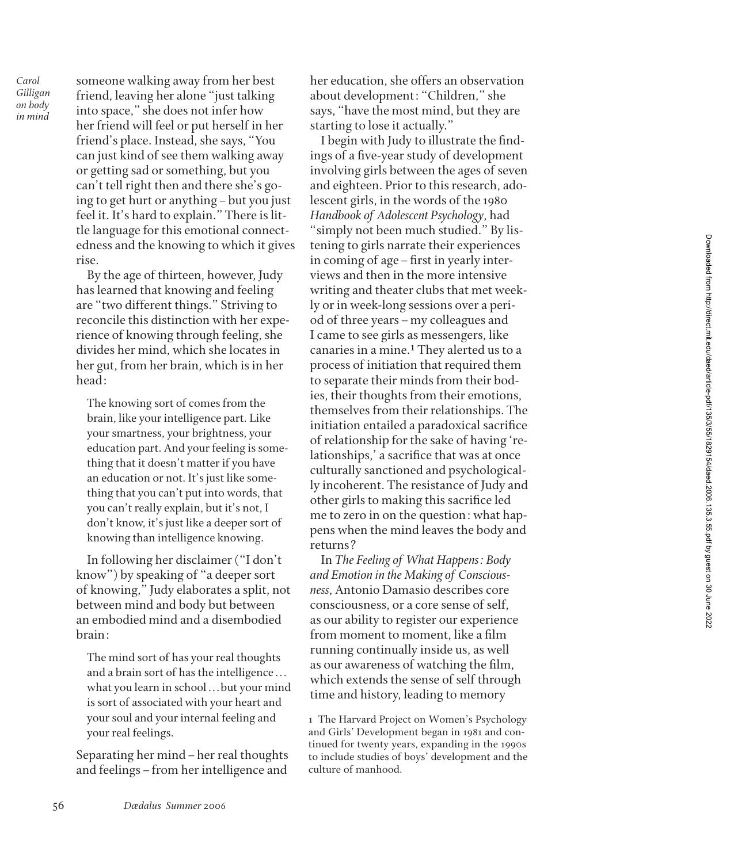someone walking away from her best friend, leaving her alone "just talking into space," she does not infer how her friend will feel or put herself in her friend's place. Instead, she says, "You can just kind of see them walking away or getting sad or something, but you can't tell right then and there she's going to get hurt or anything–but you just feel it. It's hard to explain." There is little language for this emotional connectedness and the knowing to which it gives rise.

By the age of thirteen, however, Judy has learned that knowing and feeling are "two different things." Striving to reconcile this distinction with her experience of knowing through feeling, she divides her mind, which she locates in her gut, from her brain, which is in her head:

The knowing sort of comes from the brain, like your intelligence part. Like your smartness, your brightness, your education part. And your feeling is something that it doesn't matter if you have an education or not. It's just like something that you can't put into words, that you can't really explain, but it's not, I don't know, it's just like a deeper sort of knowing than intelligence knowing.

In following her disclaimer ("I don't know") by speaking of "a deeper sort of knowing," Judy elaborates a split, not between mind and body but between an embodied mind and a disembodied brain:

The mind sort of has your real thoughts and a brain sort of has the intelligence . . . what you learn in school . . . but your mind is sort of associated with your heart and your soul and your internal feeling and your real feelings.

Separating her mind–her real thoughts and feelings–from her intelligence and

her education, she offers an observation about development: "Children," she says, "have the most mind, but they are starting to lose it actually."

I begin with Judy to illustrate the findings of a five-year study of development involving girls between the ages of seven and eighteen. Prior to this research, adolescent girls, in the words of the 1980 *Handbook of Adolescent Psychology*, had "simply not been much studied." By listening to girls narrate their experiences in coming of age – first in yearly interviews and then in the more intensive writing and theater clubs that met weekly or in week-long sessions over a period of three years–my colleagues and I came to see girls as messengers, like canaries in a mine. 1 They alerted us to a process of initiation that required them to separate their minds from their bodies, their thoughts from their emotions, themselves from their relationships. The initiation entailed a paradoxical sacrifice of relationship for the sake of having 'relationships,' a sacrifice that was at once culturally sanctioned and psychologically incoherent. The resistance of Judy and other girls to making this sacrifice led me to zero in on the question: what happens when the mind leaves the body and returns?

In *The Feeling of What Happens: Body and Emotion in the Making of Consciousness*, Antonio Damasio describes core consciousness, or a core sense of self, as our ability to register our experience from moment to moment, like a film running continually inside us, as well as our awareness of watching the film, which extends the sense of self through time and history, leading to memory

1 The Harvard Project on Women's Psychology and Girls' Development began in 1981 and continued for twenty years, expanding in the 1990s to include studies of boys' development and the culture of manhood.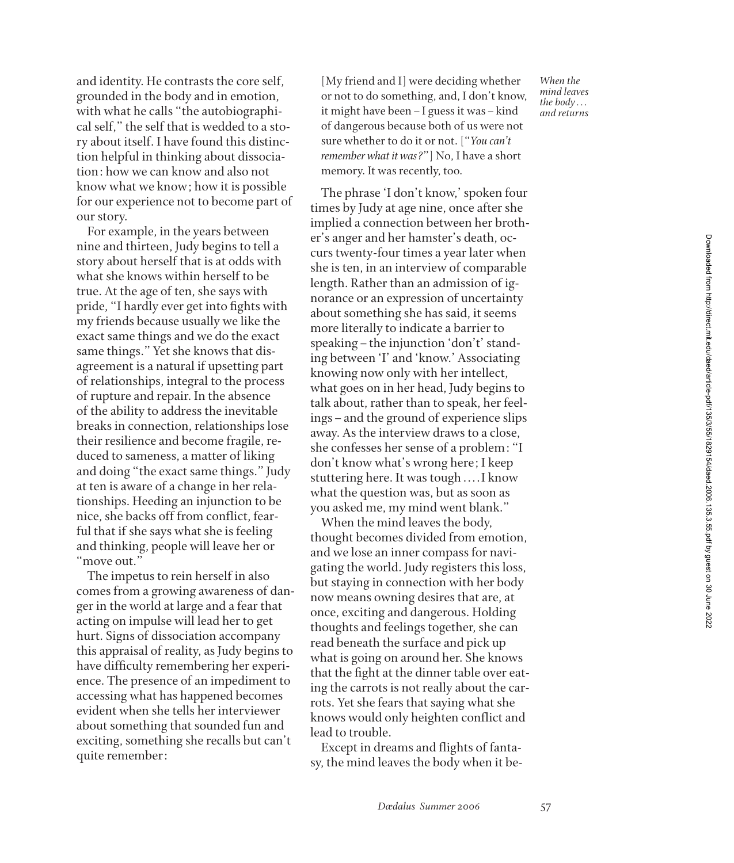and identity. He contrasts the core self, grounded in the body and in emotion, with what he calls "the autobiographical self," the self that is wedded to a story about itself. I have found this distinction helpful in thinking about dissociation: how we can know and also not know what we know; how it is possible for our experience not to become part of our story.

For example, in the years between nine and thirteen, Judy begins to tell a story about herself that is at odds with what she knows within herself to be true. At the age of ten, she says with pride, "I hardly ever get into fights with my friends because usually we like the exact same things and we do the exact same things." Yet she knows that disagreement is a natural if upsetting part of relationships, integral to the process of rupture and repair. In the absence of the ability to address the inevitable breaks in connection, relationships lose their resilience and become fragile, reduced to sameness, a matter of liking and doing "the exact same things." Judy at ten is aware of a change in her relationships. Heeding an injunction to be nice, she backs off from conflict, fearful that if she says what she is feeling and thinking, people will leave her or "move out."

The impetus to rein herself in also comes from a growing awareness of danger in the world at large and a fear that acting on impulse will lead her to get hurt. Signs of dissociation accompany this appraisal of reality, as Judy begins to have difficulty remembering her experience. The presence of an impediment to accessing what has happened becomes evident when she tells her interviewer about something that sounded fun and exciting, something she recalls but can't quite remember:

[My friend and I] were deciding whether or not to do something, and, I don't know, it might have been–I guess it was–kind of dangerous because both of us were not sure whether to do it or not. ["*You can't remember what it was?*"] No, I have a short memory. It was recently, too.

The phrase 'I don't know,' spoken four times by Judy at age nine, once after she implied a connection between her brother's anger and her hamster's death, occurs twenty-four times a year later when she is ten, in an interview of comparable length. Rather than an admission of ignorance or an expression of uncertainty about something she has said, it seems more literally to indicate a barrier to speaking–the injunction 'don't' standing between 'I' and 'know.' Associating knowing now only with her intellect, what goes on in her head, Judy begins to talk about, rather than to speak, her feelings–and the ground of experience slips away. As the interview draws to a close, she confesses her sense of a problem: "I don't know what's wrong here; I keep stuttering here. It was tough . . . . I know what the question was, but as soon as you asked me, my mind went blank."

When the mind leaves the body, thought becomes divided from emotion, and we lose an inner compass for navigating the world. Judy registers this loss, but staying in connection with her body now means owning desires that are, at once, exciting and dangerous. Holding thoughts and feelings together, she can read beneath the surface and pick up what is going on around her. She knows that the fight at the dinner table over eating the carrots is not really about the carrots. Yet she fears that saying what she knows would only heighten conflict and lead to trouble.

Except in dreams and flights of fantasy, the mind leaves the body when it be-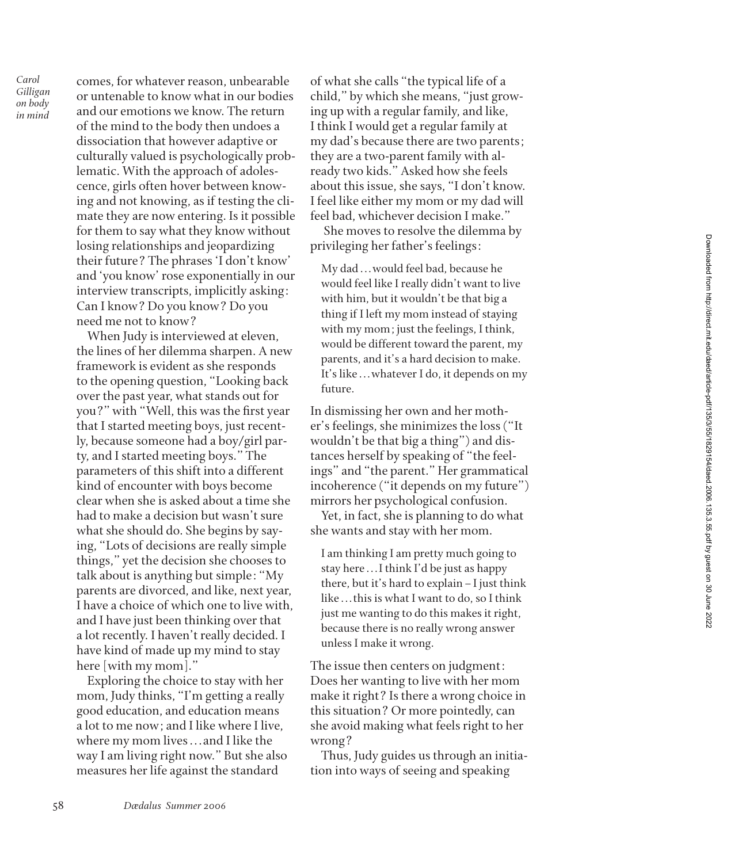comes, for whatever reason, unbearable or untenable to know what in our bodies and our emotions we know. The return of the mind to the body then undoes a dissociation that however adaptive or culturally valued is psychologically problematic. With the approach of adolescence, girls often hover between knowing and not knowing, as if testing the climate they are now entering. Is it possible for them to say what they know without losing relationships and jeopardizing their future? The phrases 'I don't know' and 'you know' rose exponentially in our interview transcripts, implicitly asking: Can I know? Do you know? Do you need me not to know?

When Judy is interviewed at eleven, the lines of her dilemma sharpen. A new framework is evident as she responds to the opening question, "Looking back over the past year, what stands out for you?" with "Well, this was the first year that I started meeting boys, just recently, because someone had a boy/girl party, and I started meeting boys." The parameters of this shift into a different kind of encounter with boys become clear when she is asked about a time she had to make a decision but wasn't sure what she should do. She begins by saying, "Lots of decisions are really simple things," yet the decision she chooses to talk about is anything but simple: "My parents are divorced, and like, next year, I have a choice of which one to live with, and I have just been thinking over that a lot recently. I haven't really decided. I have kind of made up my mind to stay here [with my mom]."

Exploring the choice to stay with her mom, Judy thinks, "I'm getting a really good education, and education means a lot to me now; and I like where I live, where my mom lives . . . and I like the way I am living right now." But she also measures her life against the standard

of what she calls "the typical life of a child," by which she means, "just growing up with a regular family, and like, I think I would get a regular family at my dad's because there are two parents; they are a two-parent family with already two kids." Asked how she feels about this issue, she says, "I don't know. I feel like either my mom or my dad will feel bad, whichever decision I make."

She moves to resolve the dilemma by privileging her father's feelings:

My dad . . . would feel bad, because he would feel like I really didn't want to live with him, but it wouldn't be that big a thing if I left my mom instead of staying with my mom; just the feelings, I think, would be different toward the parent, my parents, and it's a hard decision to make. It's like ... whatever I do, it depends on my future.

In dismissing her own and her mother's feelings, she minimizes the loss ("It wouldn't be that big a thing") and distances herself by speaking of "the feelings" and "the parent." Her grammatical incoherence ("it depends on my future") mirrors her psychological confusion.

Yet, in fact, she is planning to do what she wants and stay with her mom.

I am thinking I am pretty much going to stay here . . . I think I'd be just as happy there, but it's hard to explain–I just think like . . . this is what I want to do, so I think just me wanting to do this makes it right, because there is no really wrong answer unless I make it wrong.

The issue then centers on judgment: Does her wanting to live with her mom make it right? Is there a wrong choice in this situation? Or more pointedly, can she avoid making what feels right to her wrong?

Thus, Judy guides us through an initiation into ways of seeing and speaking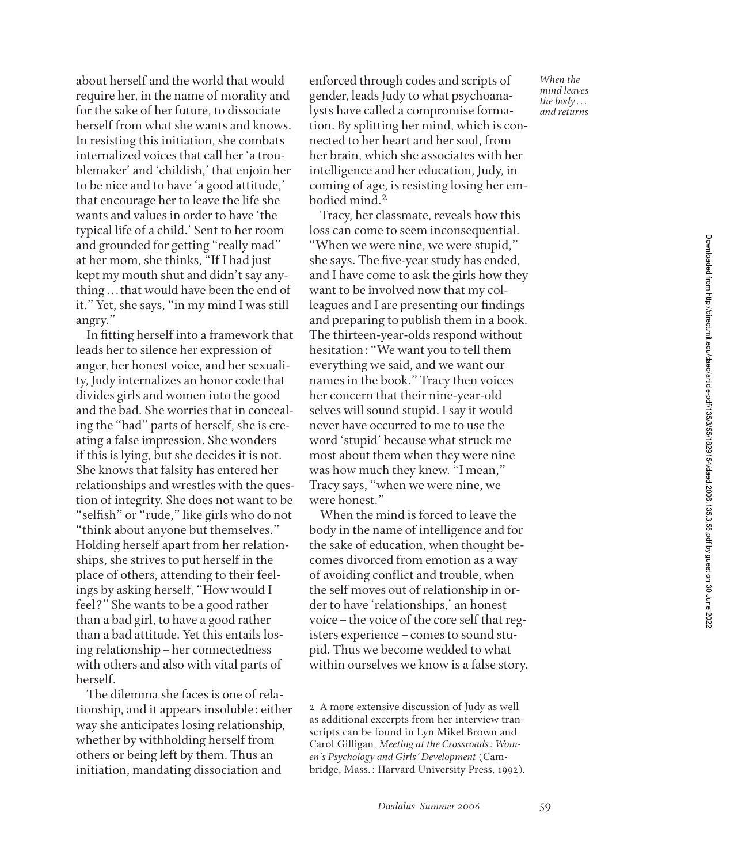about herself and the world that would require her, in the name of morality and for the sake of her future, to dissociate herself from what she wants and knows. In resisting this initiation, she combats internalized voices that call her 'a troublemaker' and 'childish,' that enjoin her to be nice and to have 'a good attitude,' that encourage her to leave the life she wants and values in order to have 'the typical life of a child.' Sent to her room and grounded for getting "really mad" at her mom, she thinks, "If I had just kept my mouth shut and didn't say anything . . . that would have been the end of it." Yet, she says, "in my mind I was still angry."

In fitting herself into a framework that leads her to silence her expression of anger, her honest voice, and her sexuality, Judy internalizes an honor code that divides girls and women into the good and the bad. She worries that in concealing the "bad" parts of herself, she is creating a false impression. She wonders if this is lying, but she decides it is not. She knows that falsity has entered her relationships and wrestles with the question of integrity. She does not want to be "selfish" or "rude," like girls who do not "think about anyone but themselves." Holding herself apart from her relationships, she strives to put herself in the place of others, attending to their feelings by asking herself, "How would I feel?" She wants to be a good rather than a bad girl, to have a good rather than a bad attitude. Yet this entails losing relationship–her connectedness with others and also with vital parts of herself.

The dilemma she faces is one of relationship, and it appears insoluble: either way she anticipates losing relationship, whether by withholding herself from others or being left by them. Thus an initiation, mandating dissociation and

enforced through codes and scripts of gender, leads Judy to what psychoanalysts have called a compromise formation. By splitting her mind, which is connected to her heart and her soul, from her brain, which she associates with her intelligence and her education, Judy, in coming of age, is resisting losing her embodied mind.<sup>2</sup>

Tracy, her classmate, reveals how this loss can come to seem inconsequential. "When we were nine, we were stupid," she says. The five-year study has ended, and I have come to ask the girls how they want to be involved now that my colleagues and I are presenting our findings and preparing to publish them in a book. The thirteen-year-olds respond without hesitation: "We want you to tell them everything we said, and we want our names in the book." Tracy then voices her concern that their nine-year-old selves will sound stupid. I say it would never have occurred to me to use the word 'stupid' because what struck me most about them when they were nine was how much they knew. "I mean," Tracy says, "when we were nine, we were honest."

When the mind is forced to leave the body in the name of intelligence and for the sake of education, when thought becomes divorced from emotion as a way of avoiding conflict and trouble, when the self moves out of relationship in order to have 'relationships,' an honest voice–the voice of the core self that registers experience–comes to sound stupid. Thus we become wedded to what within ourselves we know is a false story.

2 A more extensive discussion of Judy as well as additional excerpts from her interview transcripts can be found in Lyn Mikel Brown and Carol Gilligan, *Meeting at the Crossroads: Women's Psychology and Girls' Development* (Cambridge, Mass.: Harvard University Press, 1992).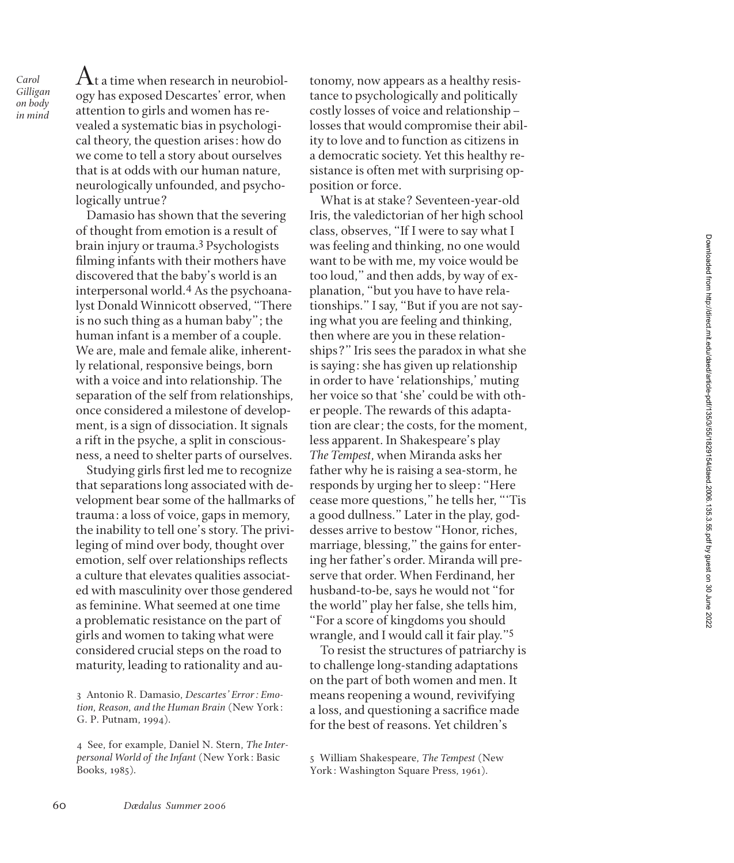Downloaded from http://direct.mit.edu/daed/article-pdf/135/3/1829154/daed.2006.135.3.55.pdf by guest on 30 June 2022 Downloaded from http://direct.mit.edu/daed/article-pdf/135/3/55/1829154/daed.2006.135.3.55.pdf by guest on 30 June 2022

*Carol Gilligan on body in mind*

 ${\rm At}$  a time when research in neurobiology has exposed Descartes' error, when attention to girls and women has revealed a systematic bias in psychological theory, the question arises: how do we come to tell a story about ourselves that is at odds with our human nature, neurologically unfounded, and psychologically untrue?

Damasio has shown that the severing of thought from emotion is a result of brain injury or trauma. 3 Psychologists filming infants with their mothers have discovered that the baby's world is an interpersonal world. 4 As the psychoanalyst Donald Winnicott observed, "There is no such thing as a human baby"; the human infant is a member of a couple. We are, male and female alike, inherently relational, responsive beings, born with a voice and into relationship. The separation of the self from relationships, once considered a milestone of development, is a sign of dissociation. It signals a rift in the psyche, a split in consciousness, a need to shelter parts of ourselves.

Studying girls first led me to recognize that separations long associated with development bear some of the hallmarks of trauma: a loss of voice, gaps in memory, the inability to tell one's story. The privileging of mind over body, thought over emotion, self over relationships reflects a culture that elevates qualities associated with masculinity over those gendered as feminine. What seemed at one time a problematic resistance on the part of girls and women to taking what were considered crucial steps on the road to maturity, leading to rationality and au-

3 Antonio R. Damasio, *Descartes' Error: Emotion, Reason, and the Human Brain* (New York: G. P. Putnam, 1994).

tonomy, now appears as a healthy resistance to psychologically and politically costly losses of voice and relationship– losses that would compromise their ability to love and to function as citizens in a democratic society. Yet this healthy resistance is often met with surprising opposition or force.

What is at stake? Seventeen-year-old Iris, the valedictorian of her high school class, observes, "If I were to say what I was feeling and thinking, no one would want to be with me, my voice would be too loud," and then adds, by way of explanation, "but you have to have relationships." I say, "But if you are not saying what you are feeling and thinking, then where are you in these relationships?" Iris sees the paradox in what she is saying: she has given up relationship in order to have 'relationships,' muting her voice so that 'she' could be with other people. The rewards of this adaptation are clear; the costs, for the moment, less apparent. In Shakespeare's play *The Tempest*, when Miranda asks her father why he is raising a sea-storm, he responds by urging her to sleep: "Here cease more questions," he tells her, "'Tis a good dullness." Later in the play, goddesses arrive to bestow "Honor, riches, marriage, blessing," the gains for entering her father's order. Miranda will preserve that order. When Ferdinand, her husband-to-be, says he would not "for the world" play her false, she tells him, "For a score of kingdoms you should wrangle, and I would call it fair play." 5

To resist the structures of patriarchy is to challenge long-standing adaptations on the part of both women and men. It means reopening a wound, revivifying a loss, and questioning a sacrifice made for the best of reasons. Yet children's

5 William Shakespeare, *The Tempest* (New York: Washington Square Press, 1961).

<sup>4</sup> See, for example, Daniel N. Stern, *The Interpersonal World of the Infant* (New York: Basic Books, 1985).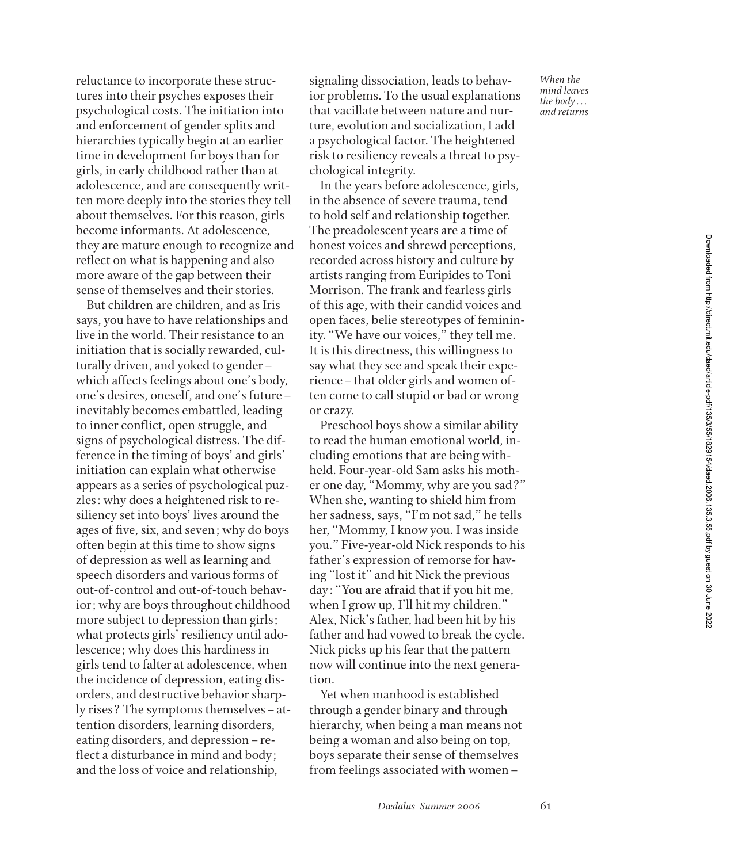reluctance to incorporate these structures into their psyches exposes their psychological costs. The initiation into and enforcement of gender splits and hierarchies typically begin at an earlier time in development for boys than for girls, in early childhood rather than at adolescence, and are consequently written more deeply into the stories they tell about themselves. For this reason, girls become informants. At adolescence, they are mature enough to recognize and reflect on what is happening and also more aware of the gap between their sense of themselves and their stories.

But children are children, and as Iris says, you have to have relationships and live in the world. Their resistance to an initiation that is socially rewarded, culturally driven, and yoked to gender– which affects feelings about one's body, one's desires, oneself, and one's future– inevitably becomes embattled, leading to inner conflict, open struggle, and signs of psychological distress. The difference in the timing of boys' and girls' initiation can explain what otherwise appears as a series of psychological puzzles: why does a heightened risk to resiliency set into boys' lives around the ages of five, six, and seven; why do boys often begin at this time to show signs of depression as well as learning and speech disorders and various forms of out-of-control and out-of-touch behavior; why are boys throughout childhood more subject to depression than girls; what protects girls' resiliency until adolescence; why does this hardiness in girls tend to falter at adolescence, when the incidence of depression, eating disorders, and destructive behavior sharply rises? The symptoms themselves–attention disorders, learning disorders, eating disorders, and depression–reflect a disturbance in mind and body; and the loss of voice and relationship,

signaling dissociation, leads to behavior problems. To the usual explanations that vacillate between nature and nurture, evolution and socialization, I add a psychological factor. The heightened risk to resiliency reveals a threat to psychological integrity.

In the years before adolescence, girls, in the absence of severe trauma, tend to hold self and relationship together. The preadolescent years are a time of honest voices and shrewd perceptions, recorded across history and culture by artists ranging from Euripides to Toni Morrison. The frank and fearless girls of this age, with their candid voices and open faces, belie stereotypes of femininity. "We have our voices," they tell me. It is this directness, this willingness to say what they see and speak their experience–that older girls and women often come to call stupid or bad or wrong or crazy.

Preschool boys show a similar ability to read the human emotional world, including emotions that are being withheld. Four-year-old Sam asks his mother one day, "Mommy, why are you sad?" When she, wanting to shield him from her sadness, says, "I'm not sad," he tells her, "Mommy, I know you. I was inside you." Five-year-old Nick responds to his father's expression of remorse for having "lost it" and hit Nick the previous day: "You are afraid that if you hit me, when I grow up, I'll hit my children." Alex, Nick's father, had been hit by his father and had vowed to break the cycle. Nick picks up his fear that the pattern now will continue into the next generation.

Yet when manhood is established through a gender binary and through hierarchy, when being a man means not being a woman and also being on top, boys separate their sense of themselves from feelings associated with women–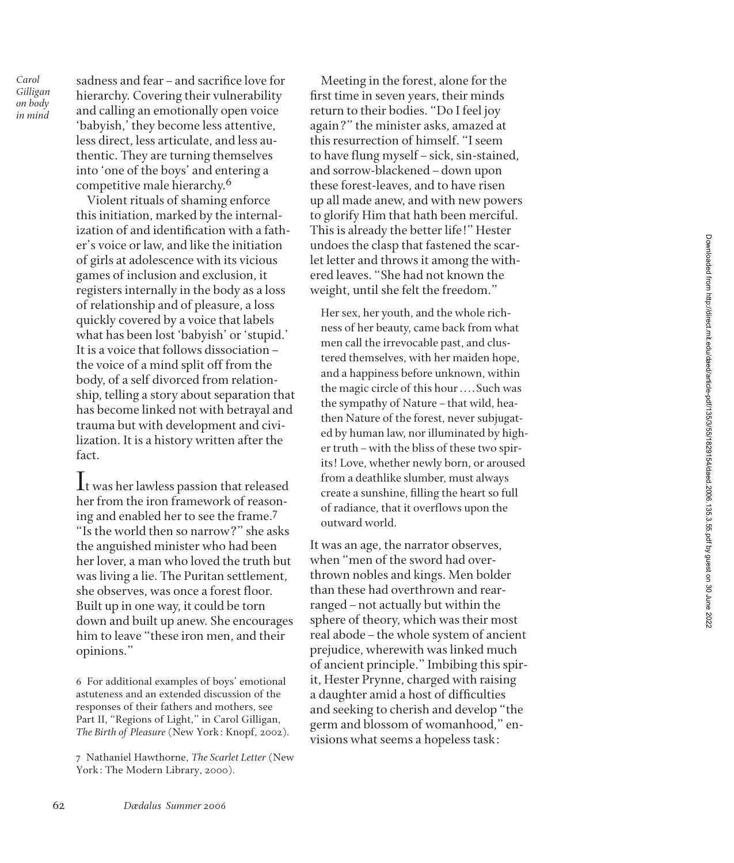sadness and fear – and sacrifice love for hierarchy. Covering their vulnerability and calling an emotionally open voice 'babyish,' they become less attentive, less direct, less articulate, and less authentic. They are turning themselves into 'one of the boys' and entering a competitive male hierarchy. 6

Violent rituals of shaming enforce this initiation, marked by the internalization of and identification with a father's voice or law, and like the initiation of girls at adolescence with its vicious games of inclusion and exclusion, it registers internally in the body as a loss of relationship and of pleasure, a loss quickly covered by a voice that labels what has been lost 'babyish' or 'stupid.' It is a voice that follows dissociation– the voice of a mind split off from the body, of a self divorced from relationship, telling a story about separation that has become linked not with betrayal and trauma but with development and civilization. It is a history written after the fact.

It was her lawless passion that released her from the iron framework of reasoning and enabled her to see the frame.7 "Is the world then so narrow?" she asks the anguished minister who had been her lover, a man who loved the truth but was living a lie. The Puritan settlement, she observes, was once a forest floor. Built up in one way, it could be torn down and built up anew. She encourages him to leave "these iron men, and their opinions."

6 For additional examples of boys' emotional astuteness and an extended discussion of the responses of their fathers and mothers, see Part II, "Regions of Light," in Carol Gilligan, *The Birth of Pleasure* (New York: Knopf, 2002).

7 Nathaniel Hawthorne, *The Scarlet Letter* (New York: The Modern Library, 2000).

Meeting in the forest, alone for the first time in seven years, their minds return to their bodies. "Do I feel joy again?" the minister asks, amazed at this resurrection of himself. "I seem to have flung myself–sick, sin-stained, and sorrow-blackened–down upon these forest-leaves, and to have risen up all made anew, and with new powers to glorify Him that hath been merciful. This is already the better life!" Hester undoes the clasp that fastened the scarlet letter and throws it among the withered leaves. "She had not known the weight, until she felt the freedom."

Her sex, her youth, and the whole richness of her beauty, came back from what men call the irrevocable past, and clustered themselves, with her maiden hope, and a happiness before unknown, within the magic circle of this hour . . . . Such was the sympathy of Nature–that wild, heathen Nature of the forest, never subjugated by human law, nor illuminated by higher truth–with the bliss of these two spirits! Love, whether newly born, or aroused from a deathlike slumber, must always create a sunshine, filling the heart so full of radiance, that it overflows upon the outward world.

It was an age, the narrator observes, when "men of the sword had overthrown nobles and kings. Men bolder than these had overthrown and rearranged–not actually but within the sphere of theory, which was their most real abode–the whole system of ancient prejudice, wherewith was linked much of ancient principle." Imbibing this spirit, Hester Prynne, charged with raising a daughter amid a host of difficulties and seeking to cherish and develop "the germ and blossom of womanhood," envisions what seems a hopeless task: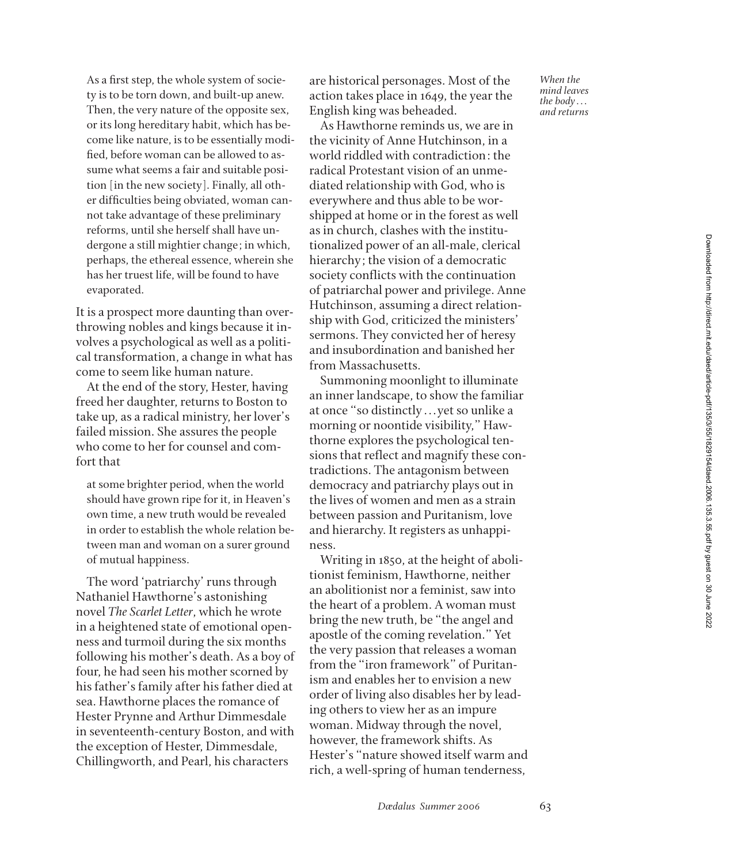As a first step, the whole system of society is to be torn down, and built-up anew. Then, the very nature of the opposite sex, or its long hereditary habit, which has become like nature, is to be essentially modi fied, before woman can be allowed to assume what seems a fair and suitable position [in the new society]. Finally, all other difficulties being obviated, woman cannot take advantage of these preliminary reforms, until she herself shall have undergone a still mightier change; in which, perhaps, the ethereal essence, wherein she has her truest life, will be found to have evaporated.

It is a prospect more daunting than overthrowing nobles and kings because it involves a psychological as well as a political transformation, a change in what has come to seem like human nature.

At the end of the story, Hester, having freed her daughter, returns to Boston to take up, as a radical ministry, her lover's failed mission. She assures the people who come to her for counsel and comfort that

at some brighter period, when the world should have grown ripe for it, in Heaven's own time, a new truth would be revealed in order to establish the whole relation between man and woman on a surer ground of mutual happiness.

The word 'patriarchy' runs through Nathaniel Hawthorne's astonishing novel *The Scarlet Letter*, which he wrote in a heightened state of emotional openness and turmoil during the six months following his mother's death. As a boy of four, he had seen his mother scorned by his father's family after his father died at sea. Hawthorne places the romance of Hester Prynne and Arthur Dimmesdale in seventeenth-century Boston, and with the exception of Hester, Dimmesdale, Chillingworth, and Pearl, his characters

are historical personages. Most of the action takes place in 1649, the year the English king was beheaded.

As Hawthorne reminds us, we are in the vicinity of Anne Hutchinson, in a world riddled with contradiction: the radical Protestant vision of an unmediated relationship with God, who is everywhere and thus able to be worshipped at home or in the forest as well as in church, clashes with the institutionalized power of an all-male, clerical hierarchy; the vision of a democratic society conflicts with the continuation of patriarchal power and privilege. Anne Hutchinson, assuming a direct relationship with God, criticized the ministers' sermons. They convicted her of heresy and insubordination and banished her from Massachusetts.

Summoning moonlight to illuminate an inner landscape, to show the familiar at once "so distinctly . . . yet so unlike a morning or noontide visibility," Hawthorne explores the psychological tensions that reflect and magnify these contradictions. The antagonism between democracy and patriarchy plays out in the lives of women and men as a strain between passion and Puritanism, love and hierarchy. It registers as unhappiness.

Writing in 1850, at the height of abolitionist feminism, Hawthorne, neither an abolitionist nor a feminist, saw into the heart of a problem. A woman must bring the new truth, be "the angel and apostle of the coming revelation." Yet the very passion that releases a woman from the "iron framework" of Puritanism and enables her to envision a new order of living also disables her by leading others to view her as an impure woman. Midway through the novel, however, the framework shifts. As Hester's "nature showed itself warm and rich, a well-spring of human tenderness,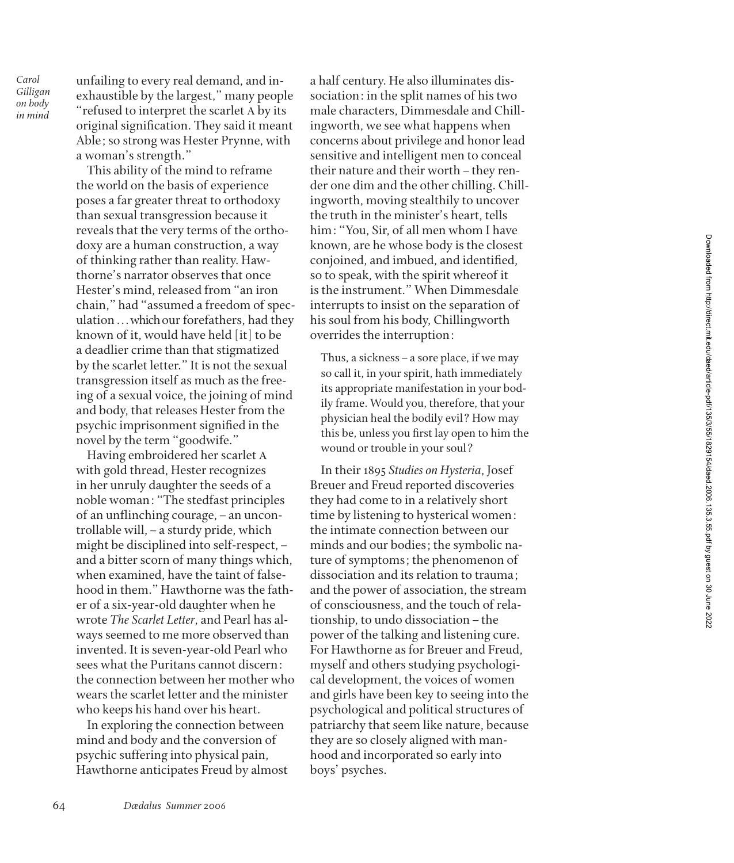unfailing to every real demand, and inexhaustible by the largest," many people "refused to interpret the scarlet A by its original signification. They said it meant Able; so strong was Hester Prynne, with a woman's strength."

This ability of the mind to reframe the world on the basis of experience poses a far greater threat to orthodoxy than sexual transgression because it reveals that the very terms of the orthodoxy are a human construction, a way of thinking rather than reality. Hawthorne's narrator observes that once Hester's mind, released from "an iron chain," had "assumed a freedom of speculation . . . which our forefathers, had they known of it, would have held [it] to be a deadlier crime than that stigmatized by the scarlet letter." It is not the sexual transgression itself as much as the freeing of a sexual voice, the joining of mind and body, that releases Hester from the psychic imprisonment signified in the novel by the term "goodwife."

Having embroidered her scarlet A with gold thread, Hester recognizes in her unruly daughter the seeds of a noble woman: "The stedfast principles of an unflinching courage,–an uncontrollable will,–a sturdy pride, which might be disciplined into self-respect,– and a bitter scorn of many things which, when examined, have the taint of falsehood in them." Hawthorne was the father of a six-year-old daughter when he wrote *The Scarlet Letter*, and Pearl has always seemed to me more observed than invented. It is seven-year-old Pearl who sees what the Puritans cannot discern: the connection between her mother who wears the scarlet letter and the minister who keeps his hand over his heart.

In exploring the connection between mind and body and the conversion of psychic suffering into physical pain, Hawthorne anticipates Freud by almost a half century. He also illuminates dissociation: in the split names of his two male characters, Dimmesdale and Chillingworth, we see what happens when concerns about privilege and honor lead sensitive and intelligent men to conceal their nature and their worth–they render one dim and the other chilling. Chillingworth, moving stealthily to uncover the truth in the minister's heart, tells him: "You, Sir, of all men whom I have known, are he whose body is the closest conjoined, and imbued, and identified, so to speak, with the spirit whereof it is the instrument." When Dimmesdale interrupts to insist on the separation of his soul from his body, Chillingworth overrides the interruption:

Thus, a sickness–a sore place, if we may so call it, in your spirit, hath immediately its appropriate manifestation in your bodily frame. Would you, therefore, that your physician heal the bodily evil? How may this be, unless you first lay open to him the wound or trouble in your soul?

In their 1895 *Studies on Hysteria*, Josef Breuer and Freud reported discoveries they had come to in a relatively short time by listening to hysterical women: the intimate connection between our minds and our bodies; the symbolic nature of symptoms; the phenomenon of dissociation and its relation to trauma; and the power of association, the stream of consciousness, and the touch of relationship, to undo dissociation–the power of the talking and listening cure. For Hawthorne as for Breuer and Freud, myself and others studying psychological development, the voices of women and girls have been key to seeing into the psychological and political structures of patriarchy that seem like nature, because they are so closely aligned with manhood and incorporated so early into boys' psyches.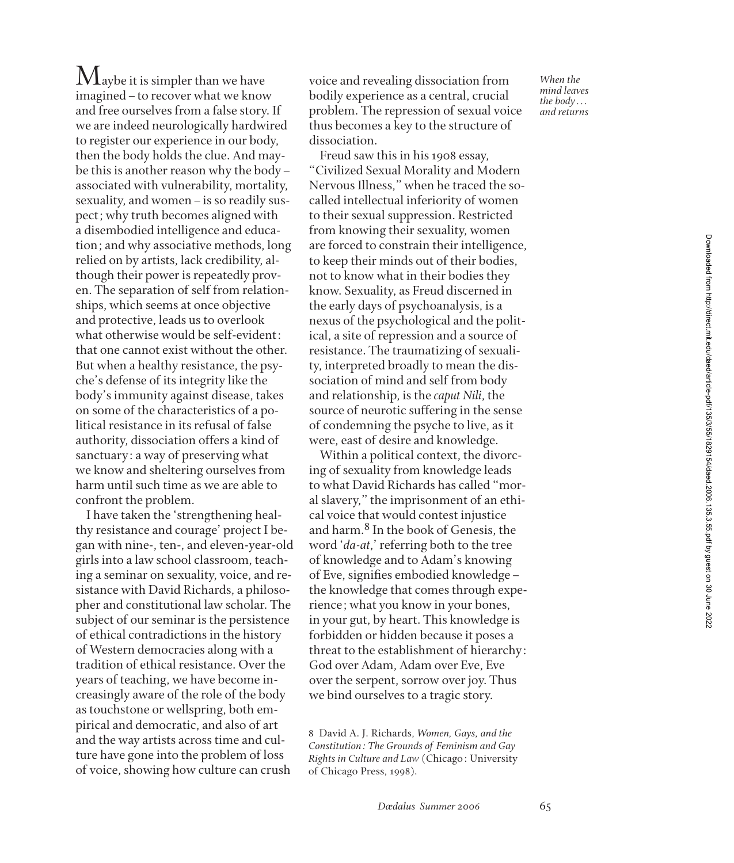$\rm\bf M$ aybe it is simpler than we have imagined–to recover what we know and free ourselves from a false story. If we are indeed neurologically hardwired to register our experience in our body, then the body holds the clue. And maybe this is another reason why the body– associated with vulnerability, mortality, sexuality, and women–is so readily suspect; why truth becomes aligned with a disembodied intelligence and education; and why associative methods, long relied on by artists, lack credibility, although their power is repeatedly proven. The separation of self from relationships, which seems at once objective and protective, leads us to overlook what otherwise would be self-evident: that one cannot exist without the other. But when a healthy resistance, the psyche's defense of its integrity like the body's immunity against disease, takes on some of the characteristics of a political resistance in its refusal of false authority, dissociation offers a kind of sanctuary: a way of preserving what we know and sheltering ourselves from harm until such time as we are able to confront the problem.

I have taken the 'strengthening healthy resistance and courage' project I began with nine-, ten-, and eleven-year-old girls into a law school classroom, teaching a seminar on sexuality, voice, and resistance with David Richards, a philosopher and constitutional law scholar. The subject of our seminar is the persistence of ethical contradictions in the history of Western democracies along with a tradition of ethical resistance. Over the years of teaching, we have become increasingly aware of the role of the body as touchstone or wellspring, both empirical and democratic, and also of art and the way artists across time and culture have gone into the problem of loss of voice, showing how culture can crush

voice and revealing dissociation from bodily experience as a central, crucial problem. The repression of sexual voice thus becomes a key to the structure of dissociation.

Freud saw this in his 1908 essay, "Civilized Sexual Morality and Modern Nervous Illness," when he traced the socalled intellectual inferiority of women to their sexual suppression. Restricted from knowing their sexuality, women are forced to constrain their intelligence, to keep their minds out of their bodies, not to know what in their bodies they know. Sexuality, as Freud discerned in the early days of psychoanalysis, is a nexus of the psychological and the political, a site of repression and a source of resistance. The traumatizing of sexuality, interpreted broadly to mean the dissociation of mind and self from body and relationship, is the *caput Nili*, the source of neurotic suffering in the sense of condemning the psyche to live, as it were, east of desire and knowledge.

Within a political context, the divorcing of sexuality from knowledge leads to what David Richards has called "moral slavery," the imprisonment of an ethical voice that would contest injustice and harm. 8 In the book of Genesis, the word '*da-at*,' referring both to the tree of knowledge and to Adam's knowing of Eve, signifies embodied knowledge – the knowledge that comes through experience; what you know in your bones, in your gut, by heart. This knowledge is forbidden or hidden because it poses a threat to the establishment of hierarchy: God over Adam, Adam over Eve, Eve over the serpent, sorrow over joy. Thus we bind ourselves to a tragic story.

8 David A. J. Richards, *Women, Gays, and the Constitution: The Grounds of Feminism and Gay Rights in Culture and Law* (Chicago: University of Chicago Press, 1998).